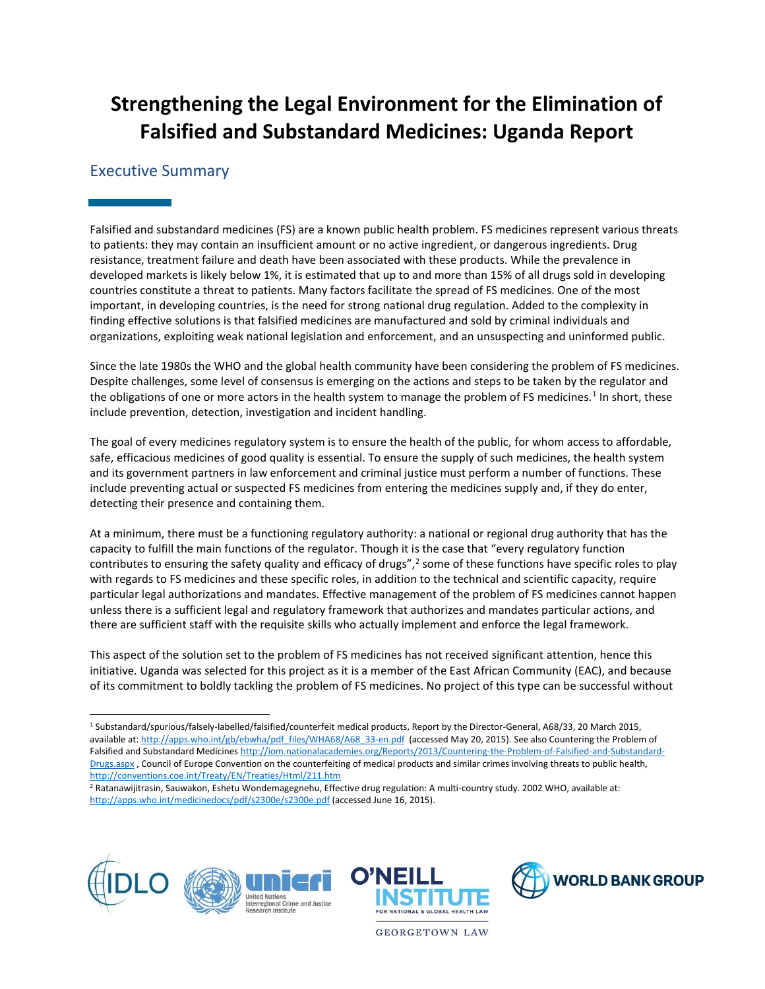# **Strengthening the Legal Environment for the Elimination of Falsified and Substandard Medicines: Uganda Report**

# Executive Summary

Falsified and substandard medicines (FS) are a known public health problem. FS medicines represent various threats to patients: they may contain an insufficient amount or no active ingredient, or dangerous ingredients. Drug resistance, treatment failure and death have been associated with these products. While the prevalence in developed markets is likely below 1%, it is estimated that up to and more than 15% of all drugs sold in developing countries constitute a threat to patients. Many factors facilitate the spread of FS medicines. One of the most important, in developing countries, is the need for strong national drug regulation. Added to the complexity in finding effective solutions is that falsified medicines are manufactured and sold by criminal individuals and organizations, exploiting weak national legislation and enforcement, and an unsuspecting and uninformed public.

Since the late 1980s the WHO and the global health community have been considering the problem of FS medicines. Despite challenges, some level of consensus is emerging on the actions and steps to be taken by the regulator and the obligations of one or more actors in the health system to manage the problem of FS medicines.<sup>1</sup> In short, these include prevention, detection, investigation and incident handling.

The goal of every medicines regulatory system is to ensure the health of the public, for whom access to affordable, safe, efficacious medicines of good quality is essential. To ensure the supply of such medicines, the health system and its government partners in law enforcement and criminal justice must perform a number of functions. These include preventing actual or suspected FS medicines from entering the medicines supply and, if they do enter, detecting their presence and containing them.

At a minimum, there must be a functioning regulatory authority: a national or regional drug authority that has the capacity to fulfill the main functions of the regulator. Though it is the case that "every regulatory function contributes to ensuring the safety quality and efficacy of drugs",<sup>2</sup> some of these functions have specific roles to play with regards to FS medicines and these specific roles, in addition to the technical and scientific capacity, require particular legal authorizations and mandates. Effective management of the problem of FS medicines cannot happen unless there is a sufficient legal and regulatory framework that authorizes and mandates particular actions, and there are sufficient staff with the requisite skills who actually implement and enforce the legal framework.

This aspect of the solution set to the problem of FS medicines has not received significant attention, hence this initiative. Uganda was selected for this project as it is a member of the East African Community (EAC), and because of its commitment to boldly tackling the problem of FS medicines. No project of this type can be successful without

<sup>&</sup>lt;sup>2</sup> Ratanawijitrasin, Sauwakon, Eshetu Wondemagegnehu, Effective drug regulation: A multi-country study. 2002 WHO, available at: <http://apps.who.int/medicinedocs/pdf/s2300e/s2300e.pdf> (accessed June 16, 2015).



 $\overline{a}$ 





**GEORGETOWN LAW** 

<sup>1</sup> Substandard/spurious/falsely-labelled/falsified/counterfeit medical products, Report by the Director-General, A68/33, 20 March 2015, available at[: http://apps.who.int/gb/ebwha/pdf\\_files/WHA68/A68\\_33-en.pdf](http://apps.who.int/gb/ebwha/pdf_files/WHA68/A68_33-en.pdf) (accessed May 20, 2015). See also Countering the Problem of Falsified and Substandard Medicine[s http://iom.nationalacademies.org/Reports/2013/Countering-the-Problem-of-Falsified-and-Substandard-](http://iom.nationalacademies.org/Reports/2013/Countering-the-Problem-of-Falsified-and-Substandard-Drugs.aspx)[Drugs.aspx](http://iom.nationalacademies.org/Reports/2013/Countering-the-Problem-of-Falsified-and-Substandard-Drugs.aspx), Council of Europe Convention on the counterfeiting of medical products and similar crimes involving threats to public health, <http://conventions.coe.int/Treaty/EN/Treaties/Html/211.htm>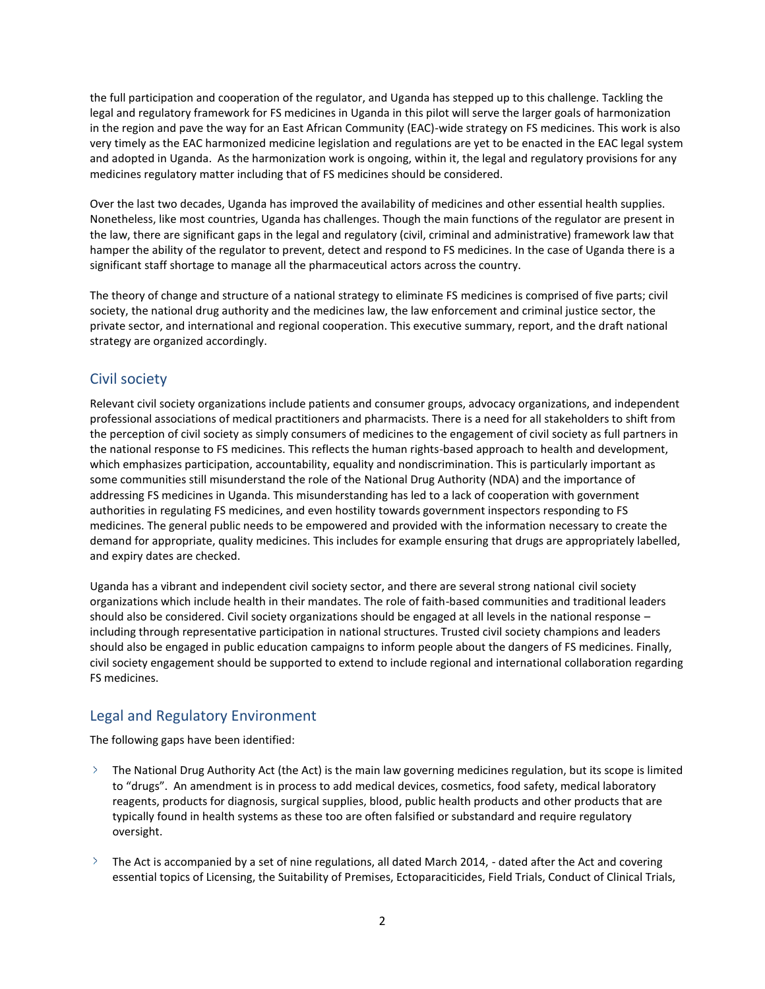the full participation and cooperation of the regulator, and Uganda has stepped up to this challenge. Tackling the legal and regulatory framework for FS medicines in Uganda in this pilot will serve the larger goals of harmonization in the region and pave the way for an East African Community (EAC)-wide strategy on FS medicines. This work is also very timely as the EAC harmonized medicine legislation and regulations are yet to be enacted in the EAC legal system and adopted in Uganda. As the harmonization work is ongoing, within it, the legal and regulatory provisions for any medicines regulatory matter including that of FS medicines should be considered.

Over the last two decades, Uganda has improved the availability of medicines and other essential health supplies. Nonetheless, like most countries, Uganda has challenges. Though the main functions of the regulator are present in the law, there are significant gaps in the legal and regulatory (civil, criminal and administrative) framework law that hamper the ability of the regulator to prevent, detect and respond to FS medicines. In the case of Uganda there is a significant staff shortage to manage all the pharmaceutical actors across the country.

The theory of change and structure of a national strategy to eliminate FS medicines is comprised of five parts; civil society, the national drug authority and the medicines law, the law enforcement and criminal justice sector, the private sector, and international and regional cooperation. This executive summary, report, and the draft national strategy are organized accordingly.

## Civil society

Relevant civil society organizations include patients and consumer groups, advocacy organizations, and independent professional associations of medical practitioners and pharmacists. There is a need for all stakeholders to shift from the perception of civil society as simply consumers of medicines to the engagement of civil society as full partners in the national response to FS medicines. This reflects the human rights-based approach to health and development, which emphasizes participation, accountability, equality and nondiscrimination. This is particularly important as some communities still misunderstand the role of the National Drug Authority (NDA) and the importance of addressing FS medicines in Uganda. This misunderstanding has led to a lack of cooperation with government authorities in regulating FS medicines, and even hostility towards government inspectors responding to FS medicines. The general public needs to be empowered and provided with the information necessary to create the demand for appropriate, quality medicines. This includes for example ensuring that drugs are appropriately labelled, and expiry dates are checked.

Uganda has a vibrant and independent civil society sector, and there are several strong national civil society organizations which include health in their mandates. The role of faith-based communities and traditional leaders should also be considered. Civil society organizations should be engaged at all levels in the national response – including through representative participation in national structures. Trusted civil society champions and leaders should also be engaged in public education campaigns to inform people about the dangers of FS medicines. Finally, civil society engagement should be supported to extend to include regional and international collaboration regarding FS medicines.

# Legal and Regulatory Environment

The following gaps have been identified:

- $\ge$  The National Drug Authority Act (the Act) is the main law governing medicines regulation, but its scope is limited to "drugs". An amendment is in process to add medical devices, cosmetics, food safety, medical laboratory reagents, products for diagnosis, surgical supplies, blood, public health products and other products that are typically found in health systems as these too are often falsified or substandard and require regulatory oversight.
- $\geq$  The Act is accompanied by a set of nine regulations, all dated March 2014, dated after the Act and covering essential topics of Licensing, the Suitability of Premises, Ectoparaciticides, Field Trials, Conduct of Clinical Trials,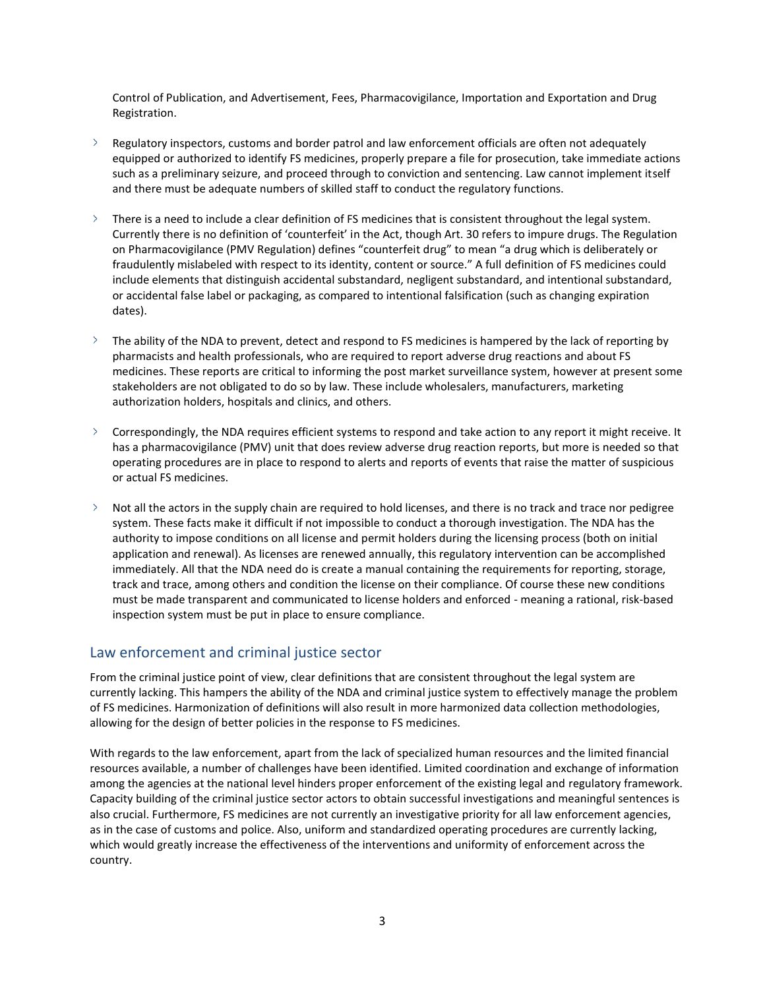Control of Publication, and Advertisement, Fees, Pharmacovigilance, Importation and Exportation and Drug Registration.

- $\geq$  Regulatory inspectors, customs and border patrol and law enforcement officials are often not adequately equipped or authorized to identify FS medicines, properly prepare a file for prosecution, take immediate actions such as a preliminary seizure, and proceed through to conviction and sentencing. Law cannot implement itself and there must be adequate numbers of skilled staff to conduct the regulatory functions.
- $\geq$  There is a need to include a clear definition of FS medicines that is consistent throughout the legal system. Currently there is no definition of 'counterfeit' in the Act, though Art. 30 refers to impure drugs. The Regulation on Pharmacovigilance (PMV Regulation) defines "counterfeit drug" to mean "a drug which is deliberately or fraudulently mislabeled with respect to its identity, content or source." A full definition of FS medicines could include elements that distinguish accidental substandard, negligent substandard, and intentional substandard, or accidental false label or packaging, as compared to intentional falsification (such as changing expiration dates).
- $\sum_{i=1}^{n}$ The ability of the NDA to prevent, detect and respond to FS medicines is hampered by the lack of reporting by pharmacists and health professionals, who are required to report adverse drug reactions and about FS medicines. These reports are critical to informing the post market surveillance system, however at present some stakeholders are not obligated to do so by law. These include wholesalers, manufacturers, marketing authorization holders, hospitals and clinics, and others.
- $\sum$ Correspondingly, the NDA requires efficient systems to respond and take action to any report it might receive. It has a pharmacovigilance (PMV) unit that does review adverse drug reaction reports, but more is needed so that operating procedures are in place to respond to alerts and reports of events that raise the matter of suspicious or actual FS medicines.
- $\geq$  Not all the actors in the supply chain are required to hold licenses, and there is no track and trace nor pedigree system. These facts make it difficult if not impossible to conduct a thorough investigation. The NDA has the authority to impose conditions on all license and permit holders during the licensing process (both on initial application and renewal). As licenses are renewed annually, this regulatory intervention can be accomplished immediately. All that the NDA need do is create a manual containing the requirements for reporting, storage, track and trace, among others and condition the license on their compliance. Of course these new conditions must be made transparent and communicated to license holders and enforced - meaning a rational, risk-based inspection system must be put in place to ensure compliance.

## Law enforcement and criminal justice sector

From the criminal justice point of view, clear definitions that are consistent throughout the legal system are currently lacking. This hampers the ability of the NDA and criminal justice system to effectively manage the problem of FS medicines. Harmonization of definitions will also result in more harmonized data collection methodologies, allowing for the design of better policies in the response to FS medicines.

With regards to the law enforcement, apart from the lack of specialized human resources and the limited financial resources available, a number of challenges have been identified. Limited coordination and exchange of information among the agencies at the national level hinders proper enforcement of the existing legal and regulatory framework. Capacity building of the criminal justice sector actors to obtain successful investigations and meaningful sentences is also crucial. Furthermore, FS medicines are not currently an investigative priority for all law enforcement agencies, as in the case of customs and police. Also, uniform and standardized operating procedures are currently lacking, which would greatly increase the effectiveness of the interventions and uniformity of enforcement across the country.